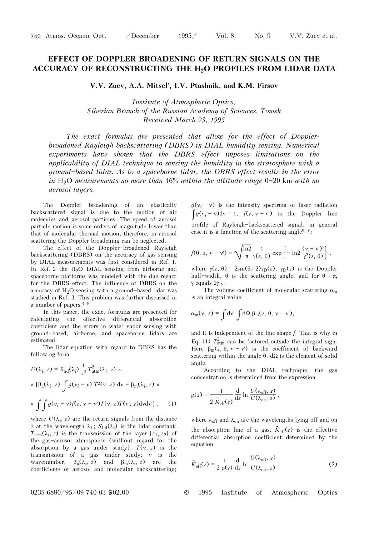## EFFECT OF DOPPLER BROADENING OF RETURN SIGNALS ON THE ACCURACY OF RECONSTRUCTING THE H<sub>2</sub>O PROFILES FROM LIDAR DATA

V.V. Zuev, A.A. Mitsel', I.V. Ptashnik, and K.M. Firsov

Institute of Atmospheric Optics, Siberian Branch of the Russian Academy of Sciences, Tomsk Received March 23, 1995

The exact formulas are presented that allow for the effect of Dopplerbroadened Rayleigh backscattering (DBRS) in DIAL humidity sensing. Numerical experiments have shown that the DBRS effect imposes limitations on the applicability of DIAL technique to sensing the humidity in the stratosphere with a ground-based lidar. As to a spaceborne lidar, the DBRS effect results in the error in H<sub>2</sub>O measurements no more than 16% within the altitude range  $0-20$  km with no aerosol layers.

The Doppler broadening of an elastically backscattered signal is due to the motion of air molecules and aerosol particles. The speed of aerosol particle motion is some orders of magnitude lower than that of molecular thermal motion, therefore, in aerosol scattering the Doppler broadening can be neglected.

The effect of the Doppler-broadened Rayleigh backscattering (DBRS) on the accuracy of gas sensing by DIAL measurements was first considered in Ref. 1. In Ref. 2 the  $H_2O$  DIAL sensing from airborne and spaceborne platforms was modeled with the due regard for the DBRS effect. The influence of DBRS on the accuracy of  $H_2O$  sensing with a ground-based lidar was studied in Ref. 3. This problem was further discussed in a number of papers.  $4-8$ 

In this paper, the exact formulas are presented for calculating the effective differential absorption coefficient and the errors in water vapor sensing with ground\$based, airborne, and spaceborne lidars are estimated.

The lidar equation with regard to DBRS has the following form:

$$
U(\lambda_i, z) = S_{\text{lid}}(\lambda_i) \frac{1}{z^2} T_{\text{atm}}^2(\lambda_i, z) \times
$$
  
×  $\left[\beta_a(\lambda_i, z)\int g(v_i - v) T^2(v, z) dv + \beta_m(\lambda_i, z) \right] \times$   
×  $\int \int g(v_i - v) f(z, v - v') T(v, z) T(v', z) dv dv'$ , (1)

where  $U(\lambda_i, z)$  are the return signals from the distance z at the wavelength  $\lambda_i$ ;  $S_{\text{lid}}(\lambda_i)$  is the lidar constant;  $T_{\text{atm}}(\lambda_i, z)$  is the transmission of the layer [ $z_1, z_2$ ] of the gas-aerosol atmosphere (without regard for the absorption by a gas under study);  $T(v, z)$  is the transmission of a gas under study; ν is the wavenumber,  $\beta_a(\lambda_i, z)$  and  $\beta_m(\lambda_i, z)$  are the coefficients of aerosol and molecular backscattering;

 $g(v_i - v)$  is the intensity spectrum of laser radiation  $\int g(v_i - v) dv = 1$ ;  $f(z, v - v')$  is the Doppler line profile of Rayleigh-backscattered signal, in general case it is a function of the scattering angle<sup>9,10</sup>:

$$
f(\theta, z, v - v') = \sqrt{\frac{\ln 2}{\pi}} \frac{1}{\gamma(z, \theta)} \exp \left\{-\ln 2 \frac{(v - v')^2}{\gamma^2(z, \theta)}\right\},\,
$$

where  $\gamma(z, \theta) = 2\sin(\theta/2)\gamma_D(z)$ ,  $\gamma_D(z)$  is the Doppler half-width,  $\theta$  is the scattering angle, and for  $\theta = \pi$ , γ equals  $2γ_D$ .

The volume coefficient of molecular scattering  $\alpha_m$ is an integral value,

$$
\alpha_{\rm m}(\nu,\,z) = \int {\rm d}v'\,\int {\rm d}\Omega\,\,\beta_{\rm m}(z,\,\theta,\,v-v'),
$$

and it is independent of the line shape  $f$ . That is why in Eq. (1)  $T_{\text{atm}}^2$  can be factored outside the integral sign. Here  $\beta_{\rm m}(z, \theta, v - v')$  is the coefficient of backward scattering within the angle  $\theta$ ,  $d\Omega$  is the element of solid angle.

According to the DIAL technique, the gas concentration is determined from the expression

$$
\rho(z) = \frac{1}{2 \tilde{K}_{\text{eff}}(z)} \frac{d}{dz} \ln \frac{U(\lambda_{\text{off}}, z)}{U(\lambda_{\text{on}}, z)},
$$

where  $\lambda_{off}$  and  $\lambda_{on}$  are the wavelengths lying off and on the absorption line of a gas,  $\tilde{K}_{\text{eff}}(z)$  is the effective differential absorption coefficient determined by the equation

$$
\tilde{K}_{\rm eff}(z) = \frac{1}{2 \rho(z)} \frac{d}{dz} \ln \frac{U(\lambda_{\rm off}, z)}{U(\lambda_{\rm on}, z)}.
$$
\n(2)

0235-6880/95/09 740-03 \$02.00 © 1995 Institute of Atmospheric Optics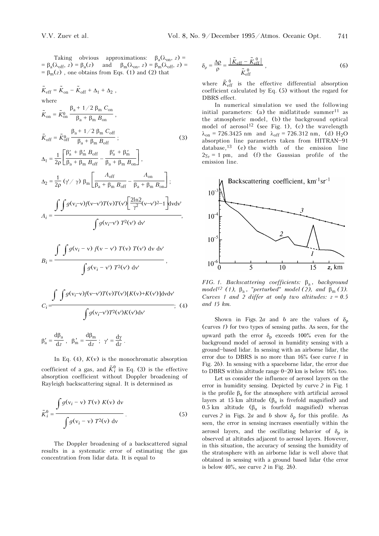Taking obvious approximations:  $\beta_a(\lambda_{\text{on}}, z)$  =  $= \beta_a(\lambda_{off}, z) = \beta_a(z)$  and  $\beta_m(\lambda_{on}, z) = \beta_m(\lambda_{off}, z) =$  $= \beta_{\rm m}(z)$ , one obtains from Eqs. (1) and (2) that

$$
\tilde{K}_{eff} = \tilde{K}_{on} - \tilde{K}_{off} + \Delta_{1} + \Delta_{2} ,
$$
\nwhere  
\n
$$
\tilde{K}_{on} = \tilde{K}_{on}^{0} \frac{\beta_{a} + 1/2 \beta_{m} C_{on}}{\beta_{a} + \beta_{m} B_{on}},
$$
\n
$$
\tilde{K}_{off} = \tilde{K}_{off}^{0} \frac{\beta_{a} + 1/2 \beta_{m} C_{on}}{\beta_{a} + \beta_{m} B_{off}}; \qquad (3)
$$
\n
$$
\Delta_{1} = \frac{1}{2\rho} \left[ \frac{\beta'_{a} + \beta'_{m} B_{off}}{\beta_{a} + \beta_{m} B_{off}} - \frac{\beta'_{a} + \beta'_{m}}{\beta_{a} + \beta_{m} B_{on}} \right],
$$
\n
$$
\Delta_{2} = \frac{1}{2\rho} (\gamma / \gamma) \beta_{m} \left[ \frac{A_{off}}{\beta_{a} + \beta_{m} B_{off}} - \frac{A_{on}}{\beta_{a} + \beta_{m} B_{on}} \right];
$$
\n
$$
A_{i} = \frac{\int \int g(v_{i} - v) f(v - v') T(v) T(v') \left[ \frac{2\ln 2}{\gamma^{2}} (v - v')^{2} - 1 \right] dv dv'}{\int g(v_{i} - v') T^{2}(v') dv'},
$$
\n
$$
B_{i} = \frac{\int \int g(v_{i} - v) f(v - v') T(v) T(v) dv dv'}{\int g(v_{i} - v') T^{2}(v') dv'} ,
$$
\n
$$
\int \int g(v_{i} - v') T^{2}(v') d v'
$$

$$
C_i = \frac{\int g(v_i - v')T^2(v')K(v')dv'}{\int g'_a = \frac{d\beta_a}{dz}}, \ \beta'_m = \frac{d\beta_m}{dz}; \ \gamma' = \frac{d\gamma}{dz}.
$$
 (4)

In Eq. (4),  $K(v)$  is the monochromatic absorption

coefficient of a gas, and  $\tilde{K}_i^0$  in Eq. (3) is the effective absorption coefficient without Doppler broadening of Rayleigh backscattering signal. It is determined as

$$
\tilde{K}_i^0 = \frac{\int g(v_i - v) T(v) K(v) dv}{\int g(v_i - v) T^2(v) dv}.
$$
\n(5)

The Doppler broadening of a backscattered signal results in a systematic error of estimating the gas concentration from lidar data. It is equal to

$$
\delta_{\rho} = \frac{\Delta \rho}{\rho} = \frac{\left| \tilde{K}_{\text{eff}} - \tilde{K}_{\text{eff}}^0 \right|}{\tilde{K}_{\text{eff}}^0},\tag{6}
$$

where  $\tilde{K}_{\text{eff}}^{0}$  is the effective differential absorption coefficient calculated by Eq. (5) without the regard for DBRS effect.

In numerical simulation we used the following initial parameters: (a) the midlatitude summer<sup>11</sup> as the atmospheric model, (b) the background optical model of aerosol<sup>12</sup> (see Fig. 1), (c) the wavelength  $\lambda_{on}$  = 726.3425 nm and  $\lambda_{off}$  = 726.312 nm, (d) H<sub>2</sub>O absorption line parameters taken from HITRAN-91 database,13 (e) the width of the emission line  $2\gamma_e = 1$  pm, and (f) the Gaussian profile of the emission line.



FIG. 1. Backscattering coefficients:  $\beta_a$ , background model<sup>12</sup> (1),  $\beta_a$ , "perturbed" model (2), and  $\beta_m$  (3). Curves 1 and 2 differ at only two altitudes:  $z = 0.5$ and 15 km.

Shown in Figs. 2a and b are the values of  $\delta_{\rho}$ (curves 1) for two types of sensing paths. As seen, for the upward path the error  $\delta_{\rm o}$  exceeds 100% even for the background model of aerosol in humidity sensing with a ground\$based lidar. In sensing with an airborne lidar, the error due to DBRS is no more than  $16\%$  (see curve 1 in Fig. 2b). In sensing with a spaceborne lidar, the error due to DBRS within altitude range  $0-20$  km is below 16% too.

Let us consider the influence of aerosol layers on the error in humidity sensing. Depicted by curve 2 in Fig. 1 is the profile  $β<sub>a</sub>$  for the atmosphere with artificial aerosol layers at 15 km altitude ( $\beta_a$  is fivefold magnified) and 0.5 km altitude ( $β_a$  is fourfold magnified) whereas curves 2 in Figs. 2a and b show  $\delta_0$  for this profile. As seen, the error in sensing increases essentially within the aerosol layers, and the oscillating behavior of  $\delta_0$  is observed at altitudes adjacent to aerosol layers. However, in this situation, the accuracy of sensing the humidity of the stratosphere with an airborne lidar is well above that obtained in sensing with a ground based lidar (the error is below  $40\%$ , see curve 2 in Fig. 2b).